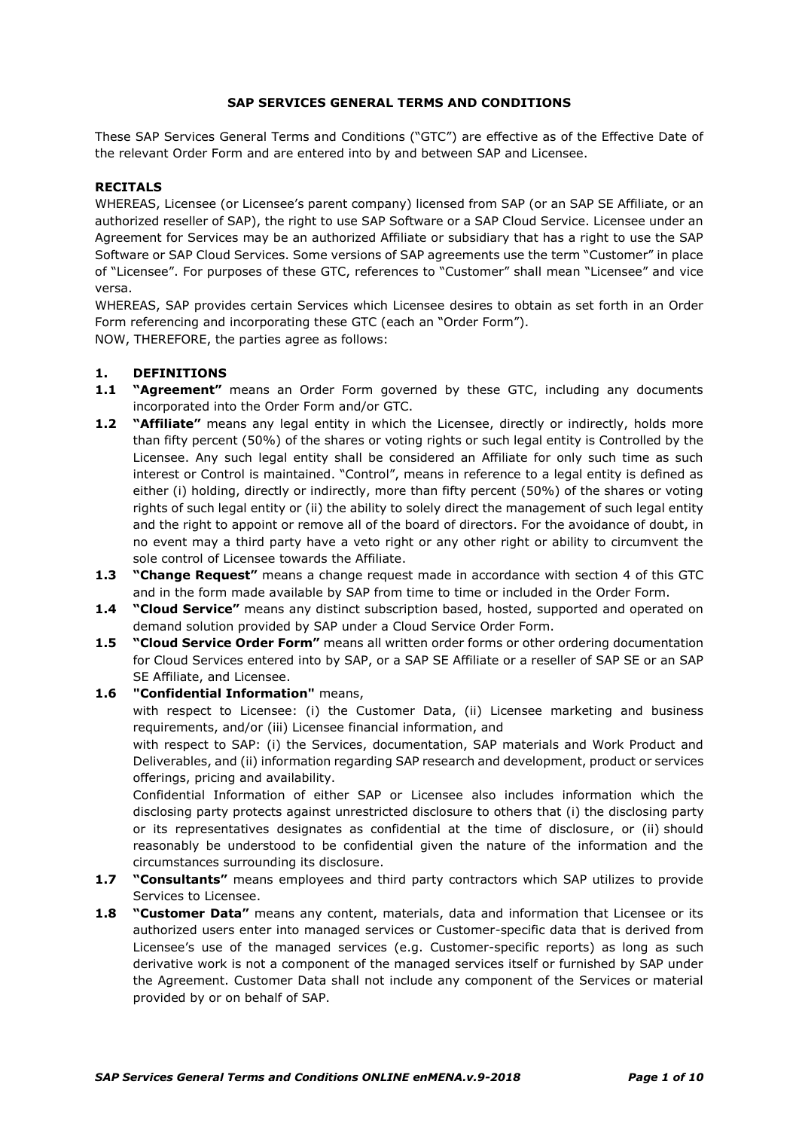### **SAP SERVICES GENERAL TERMS AND CONDITIONS**

These SAP Services General Terms and Conditions ("GTC") are effective as of the Effective Date of the relevant Order Form and are entered into by and between SAP and Licensee.

### **RECITALS**

WHEREAS, Licensee (or Licensee's parent company) licensed from SAP (or an SAP SE Affiliate, or an authorized reseller of SAP), the right to use SAP Software or a SAP Cloud Service. Licensee under an Agreement for Services may be an authorized Affiliate or subsidiary that has a right to use the SAP Software or SAP Cloud Services. Some versions of SAP agreements use the term "Customer" in place of "Licensee". For purposes of these GTC, references to "Customer" shall mean "Licensee" and vice versa.

WHEREAS, SAP provides certain Services which Licensee desires to obtain as set forth in an Order Form referencing and incorporating these GTC (each an "Order Form").

NOW, THEREFORE, the parties agree as follows:

## **1. DEFINITIONS**

- **1.1 "Agreement"** means an Order Form governed by these GTC, including any documents incorporated into the Order Form and/or GTC.
- **1.2 "Affiliate"** means any legal entity in which the Licensee, directly or indirectly, holds more than fifty percent (50%) of the shares or voting rights or such legal entity is Controlled by the Licensee. Any such legal entity shall be considered an Affiliate for only such time as such interest or Control is maintained. "Control", means in reference to a legal entity is defined as either (i) holding, directly or indirectly, more than fifty percent (50%) of the shares or voting rights of such legal entity or (ii) the ability to solely direct the management of such legal entity and the right to appoint or remove all of the board of directors. For the avoidance of doubt, in no event may a third party have a veto right or any other right or ability to circumvent the sole control of Licensee towards the Affiliate.
- **1.3 "Change Request"** means a change request made in accordance with section [4](#page-2-0) of this GTC and in the form made available by SAP from time to time or included in the Order Form.
- **1.4 "Cloud Service"** means any distinct subscription based, hosted, supported and operated on demand solution provided by SAP under a Cloud Service Order Form.
- **1.5 "Cloud Service Order Form"** means all written order forms or other ordering documentation for Cloud Services entered into by SAP, or a SAP SE Affiliate or a reseller of SAP SE or an SAP SE Affiliate, and Licensee.

## **1.6 "Confidential Information"** means,

with respect to Licensee: (i) the Customer Data, (ii) Licensee marketing and business requirements, and/or (iii) Licensee financial information, and

with respect to SAP: (i) the Services, documentation, SAP materials and Work Product and Deliverables, and (ii) information regarding SAP research and development, product or services offerings, pricing and availability.

Confidential Information of either SAP or Licensee also includes information which the disclosing party protects against unrestricted disclosure to others that (i) the disclosing party or its representatives designates as confidential at the time of disclosure, or (ii) should reasonably be understood to be confidential given the nature of the information and the circumstances surrounding its disclosure.

- **1.7 "Consultants"** means employees and third party contractors which SAP utilizes to provide Services to Licensee.
- **1.8 "Customer Data"** means any content, materials, data and information that Licensee or its authorized users enter into managed services or Customer-specific data that is derived from Licensee's use of the managed services (e.g. Customer-specific reports) as long as such derivative work is not a component of the managed services itself or furnished by SAP under the Agreement. Customer Data shall not include any component of the Services or material provided by or on behalf of SAP.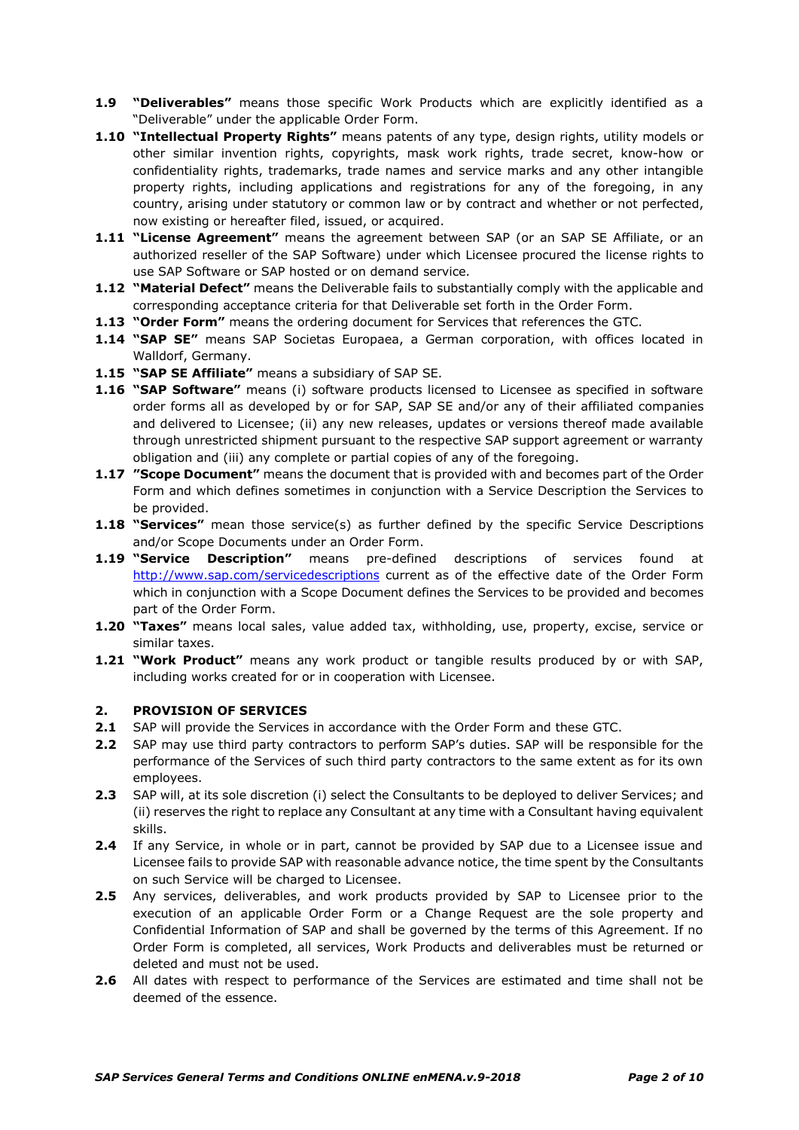- **1.9 "Deliverables"** means those specific Work Products which are explicitly identified as a "Deliverable" under the applicable Order Form.
- **1.10 "Intellectual Property Rights"** means patents of any type, design rights, utility models or other similar invention rights, copyrights, mask work rights, trade secret, know-how or confidentiality rights, trademarks, trade names and service marks and any other intangible property rights, including applications and registrations for any of the foregoing, in any country, arising under statutory or common law or by contract and whether or not perfected, now existing or hereafter filed, issued, or acquired.
- **1.11 "License Agreement"** means the agreement between SAP (or an SAP SE Affiliate, or an authorized reseller of the SAP Software) under which Licensee procured the license rights to use SAP Software or SAP hosted or on demand service*.*
- **1.12 "Material Defect"** means the Deliverable fails to substantially comply with the applicable and corresponding acceptance criteria for that Deliverable set forth in the Order Form.
- **1.13 "Order Form"** means the ordering document for Services that references the GTC.
- **1.14 "SAP SE"** means SAP Societas Europaea, a German corporation, with offices located in Walldorf, Germany.
- **1.15 "SAP SE Affiliate"** means a subsidiary of SAP SE.
- **1.16 "SAP Software"** means (i) software products licensed to Licensee as specified in software order forms all as developed by or for SAP, SAP SE and/or any of their affiliated companies and delivered to Licensee; (ii) any new releases, updates or versions thereof made available through unrestricted shipment pursuant to the respective SAP support agreement or warranty obligation and (iii) any complete or partial copies of any of the foregoing.
- **1.17 "Scope Document"** means the document that is provided with and becomes part of the Order Form and which defines sometimes in conjunction with a Service Description the Services to be provided.
- **1.18 "Services"** mean those service(s) as further defined by the specific Service Descriptions and/or Scope Documents under an Order Form.
- **1.19 "Service Description"** means pre-defined descriptions of services found at <http://www.sap.com/servicedescriptions> current as of the effective date of the Order Form which in conjunction with a Scope Document defines the Services to be provided and becomes part of the Order Form.
- **1.20 "Taxes"** means local sales, value added tax, withholding, use, property, excise, service or similar taxes.
- **1.21 "Work Product"** means any work product or tangible results produced by or with SAP, including works created for or in cooperation with Licensee.

#### **2. PROVISION OF SERVICES**

- **2.1** SAP will provide the Services in accordance with the Order Form and these GTC.
- **2.2** SAP may use third party contractors to perform SAP's duties. SAP will be responsible for the performance of the Services of such third party contractors to the same extent as for its own employees.
- **2.3** SAP will, at its sole discretion (i) select the Consultants to be deployed to deliver Services; and (ii) reserves the right to replace any Consultant at any time with a Consultant having equivalent skills.
- **2.4** If any Service, in whole or in part, cannot be provided by SAP due to a Licensee issue and Licensee fails to provide SAP with reasonable advance notice, the time spent by the Consultants on such Service will be charged to Licensee.
- **2.5** Any services, deliverables, and work products provided by SAP to Licensee prior to the execution of an applicable Order Form or a Change Request are the sole property and Confidential Information of SAP and shall be governed by the terms of this Agreement. If no Order Form is completed, all services, Work Products and deliverables must be returned or deleted and must not be used.
- **2.6** All dates with respect to performance of the Services are estimated and time shall not be deemed of the essence.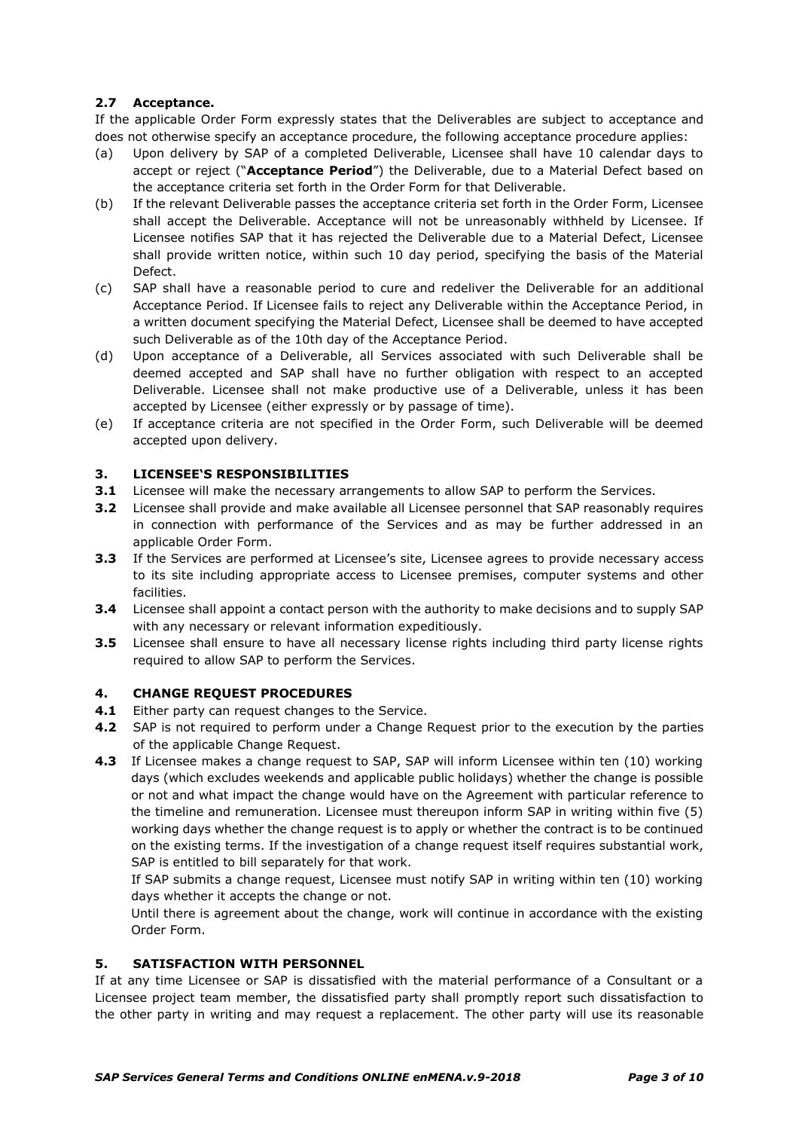## **2.7 Acceptance.**

If the applicable Order Form expressly states that the Deliverables are subject to acceptance and does not otherwise specify an acceptance procedure, the following acceptance procedure applies:

- (a) Upon delivery by SAP of a completed Deliverable, Licensee shall have 10 calendar days to accept or reject ("**Acceptance Period**") the Deliverable, due to a Material Defect based on the acceptance criteria set forth in the Order Form for that Deliverable.
- (b) If the relevant Deliverable passes the acceptance criteria set forth in the Order Form, Licensee shall accept the Deliverable. Acceptance will not be unreasonably withheld by Licensee. If Licensee notifies SAP that it has rejected the Deliverable due to a Material Defect, Licensee shall provide written notice, within such 10 day period, specifying the basis of the Material Defect.
- (c) SAP shall have a reasonable period to cure and redeliver the Deliverable for an additional Acceptance Period. If Licensee fails to reject any Deliverable within the Acceptance Period, in a written document specifying the Material Defect, Licensee shall be deemed to have accepted such Deliverable as of the 10th day of the Acceptance Period.
- (d) Upon acceptance of a Deliverable, all Services associated with such Deliverable shall be deemed accepted and SAP shall have no further obligation with respect to an accepted Deliverable. Licensee shall not make productive use of a Deliverable, unless it has been accepted by Licensee (either expressly or by passage of time).
- (e) If acceptance criteria are not specified in the Order Form, such Deliverable will be deemed accepted upon delivery.

## **3. LICENSEE'S RESPONSIBILITIES**

- **3.1** Licensee will make the necessary arrangements to allow SAP to perform the Services.
- **3.2** Licensee shall provide and make available all Licensee personnel that SAP reasonably requires in connection with performance of the Services and as may be further addressed in an applicable Order Form.
- **3.3** If the Services are performed at Licensee's site, Licensee agrees to provide necessary access to its site including appropriate access to Licensee premises, computer systems and other facilities.
- **3.4** Licensee shall appoint a contact person with the authority to make decisions and to supply SAP with any necessary or relevant information expeditiously.
- **3.5** Licensee shall ensure to have all necessary license rights including third party license rights required to allow SAP to perform the Services.

## <span id="page-2-0"></span>**4. CHANGE REQUEST PROCEDURES**

- **4.1** Either party can request changes to the Service.
- **4.2** SAP is not required to perform under a Change Request prior to the execution by the parties of the applicable Change Request.
- **4.3** If Licensee makes a change request to SAP, SAP will inform Licensee within ten (10) working days (which excludes weekends and applicable public holidays) whether the change is possible or not and what impact the change would have on the Agreement with particular reference to the timeline and remuneration. Licensee must thereupon inform SAP in writing within five (5) working days whether the change request is to apply or whether the contract is to be continued on the existing terms. If the investigation of a change request itself requires substantial work, SAP is entitled to bill separately for that work.

If SAP submits a change request, Licensee must notify SAP in writing within ten (10) working days whether it accepts the change or not.

Until there is agreement about the change, work will continue in accordance with the existing Order Form.

## **5. SATISFACTION WITH PERSONNEL**

If at any time Licensee or SAP is dissatisfied with the material performance of a Consultant or a Licensee project team member, the dissatisfied party shall promptly report such dissatisfaction to the other party in writing and may request a replacement. The other party will use its reasonable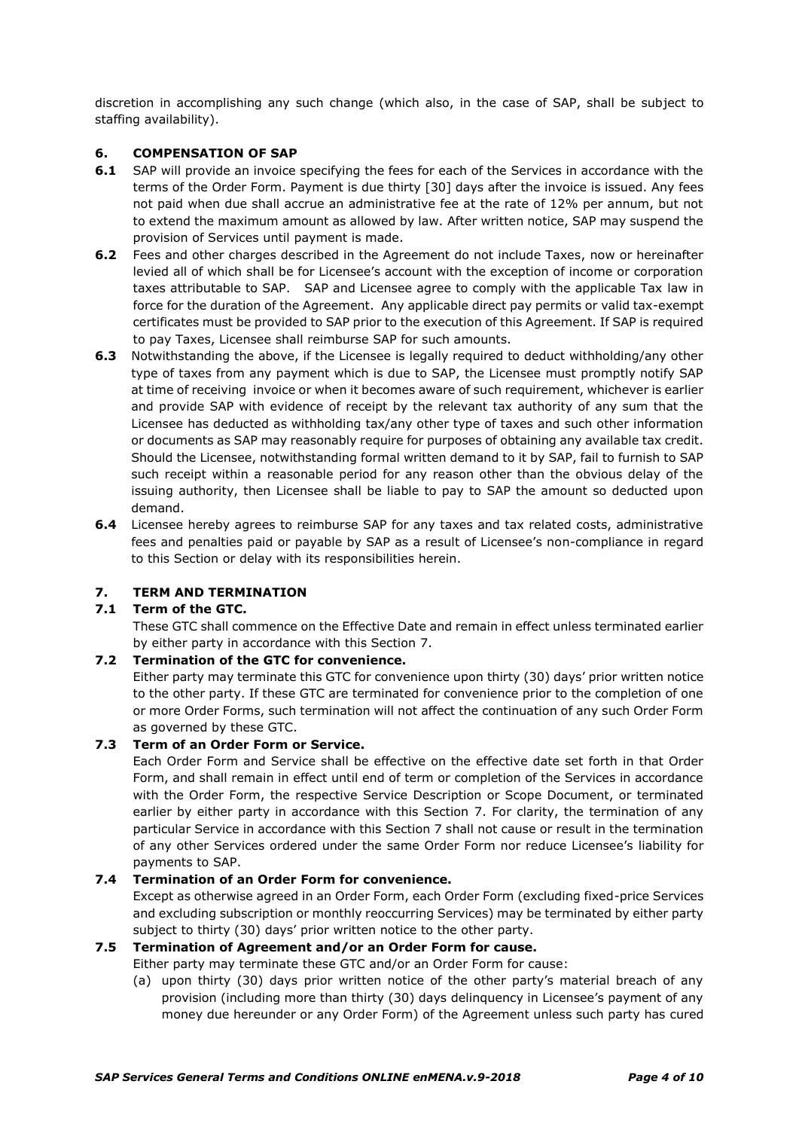discretion in accomplishing any such change (which also, in the case of SAP, shall be subject to staffing availability).

## **6. COMPENSATION OF SAP**

- **6.1** SAP will provide an invoice specifying the fees for each of the Services in accordance with the terms of the Order Form. Payment is due thirty [30] days after the invoice is issued. Any fees not paid when due shall accrue an administrative fee at the rate of 12% per annum, but not to extend the maximum amount as allowed by law. After written notice, SAP may suspend the provision of Services until payment is made.
- **6.2** Fees and other charges described in the Agreement do not include Taxes, now or hereinafter levied all of which shall be for Licensee's account with the exception of income or corporation taxes attributable to SAP. SAP and Licensee agree to comply with the applicable Tax law in force for the duration of the Agreement. Any applicable direct pay permits or valid tax-exempt certificates must be provided to SAP prior to the execution of this Agreement. If SAP is required to pay Taxes, Licensee shall reimburse SAP for such amounts.
- **6.3** Notwithstanding the above, if the Licensee is legally required to deduct withholding/any other type of taxes from any payment which is due to SAP, the Licensee must promptly notify SAP at time of receiving invoice or when it becomes aware of such requirement, whichever is earlier and provide SAP with evidence of receipt by the relevant tax authority of any sum that the Licensee has deducted as withholding tax/any other type of taxes and such other information or documents as SAP may reasonably require for purposes of obtaining any available tax credit. Should the Licensee, notwithstanding formal written demand to it by SAP, fail to furnish to SAP such receipt within a reasonable period for any reason other than the obvious delay of the issuing authority, then Licensee shall be liable to pay to SAP the amount so deducted upon demand.
- **6.4** Licensee hereby agrees to reimburse SAP for any taxes and tax related costs, administrative fees and penalties paid or payable by SAP as a result of Licensee's non-compliance in regard to this Section or delay with its responsibilities herein.

## **7. TERM AND TERMINATION**

# **7.1 Term of the GTC.**

These GTC shall commence on the Effective Date and remain in effect unless terminated earlier by either party in accordance with this Section 7.

### **7.2 Termination of the GTC for convenience.**

Either party may terminate this GTC for convenience upon thirty (30) days' prior written notice to the other party. If these GTC are terminated for convenience prior to the completion of one or more Order Forms, such termination will not affect the continuation of any such Order Form as governed by these GTC.

## **7.3 Term of an Order Form or Service.**

Each Order Form and Service shall be effective on the effective date set forth in that Order Form, and shall remain in effect until end of term or completion of the Services in accordance with the Order Form, the respective Service Description or Scope Document, or terminated earlier by either party in accordance with this Section 7. For clarity, the termination of any particular Service in accordance with this Section 7 shall not cause or result in the termination of any other Services ordered under the same Order Form nor reduce Licensee's liability for payments to SAP.

#### **7.4 Termination of an Order Form for convenience.**

Except as otherwise agreed in an Order Form, each Order Form (excluding fixed-price Services and excluding subscription or monthly reoccurring Services) may be terminated by either party subject to thirty (30) days' prior written notice to the other party.

#### **7.5 Termination of Agreement and/or an Order Form for cause.**

Either party may terminate these GTC and/or an Order Form for cause:

(a) upon thirty (30) days prior written notice of the other party's material breach of any provision (including more than thirty (30) days delinquency in Licensee's payment of any money due hereunder or any Order Form) of the Agreement unless such party has cured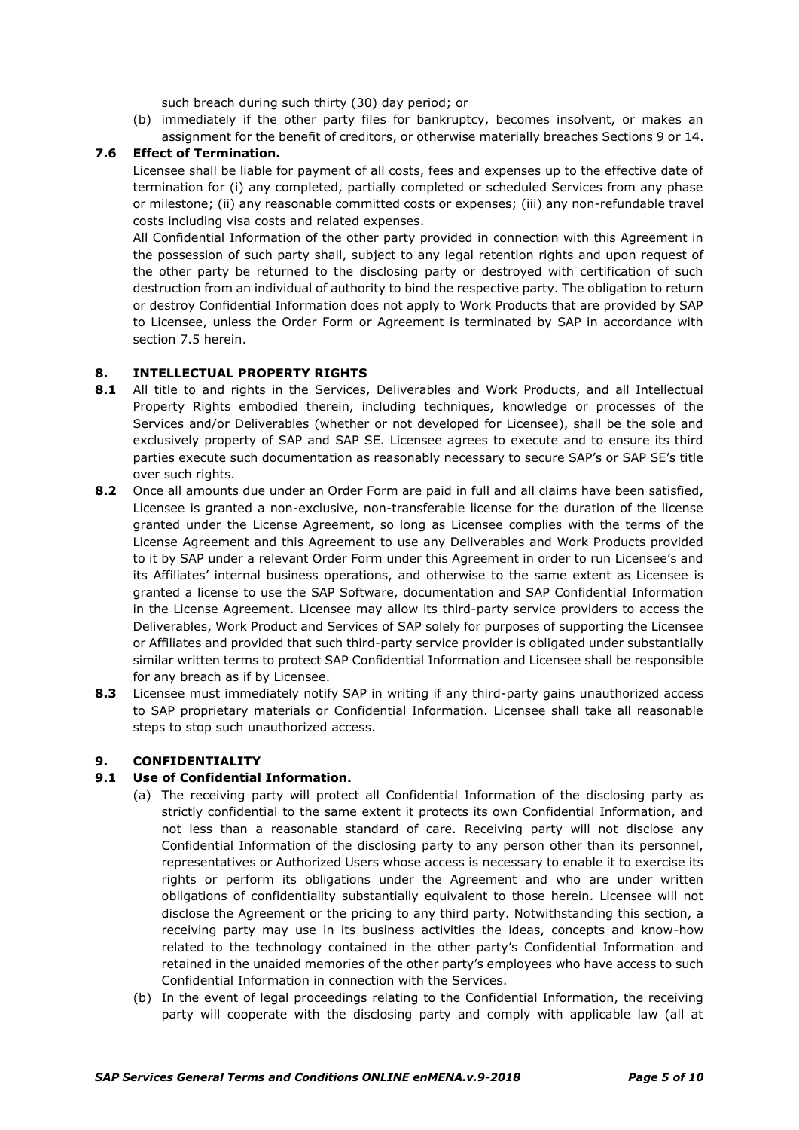such breach during such thirty (30) day period; or

(b) immediately if the other party files for bankruptcy, becomes insolvent, or makes an assignment for the benefit of creditors, or otherwise materially breaches Sections 9 or 14.

### **7.6 Effect of Termination.**

Licensee shall be liable for payment of all costs, fees and expenses up to the effective date of termination for (i) any completed, partially completed or scheduled Services from any phase or milestone; (ii) any reasonable committed costs or expenses; (iii) any non-refundable travel costs including visa costs and related expenses.

All Confidential Information of the other party provided in connection with this Agreement in the possession of such party shall, subject to any legal retention rights and upon request of the other party be returned to the disclosing party or destroyed with certification of such destruction from an individual of authority to bind the respective party. The obligation to return or destroy Confidential Information does not apply to Work Products that are provided by SAP to Licensee, unless the Order Form or Agreement is terminated by SAP in accordance with section 7.5 herein.

#### **8. INTELLECTUAL PROPERTY RIGHTS**

- **8.1** All title to and rights in the Services, Deliverables and Work Products, and all Intellectual Property Rights embodied therein, including techniques, knowledge or processes of the Services and/or Deliverables (whether or not developed for Licensee), shall be the sole and exclusively property of SAP and SAP SE. Licensee agrees to execute and to ensure its third parties execute such documentation as reasonably necessary to secure SAP's or SAP SE's title over such rights.
- **8.2** Once all amounts due under an Order Form are paid in full and all claims have been satisfied, Licensee is granted a non-exclusive, non-transferable license for the duration of the license granted under the License Agreement, so long as Licensee complies with the terms of the License Agreement and this Agreement to use any Deliverables and Work Products provided to it by SAP under a relevant Order Form under this Agreement in order to run Licensee's and its Affiliates' internal business operations, and otherwise to the same extent as Licensee is granted a license to use the SAP Software, documentation and SAP Confidential Information in the License Agreement. Licensee may allow its third-party service providers to access the Deliverables, Work Product and Services of SAP solely for purposes of supporting the Licensee or Affiliates and provided that such third-party service provider is obligated under substantially similar written terms to protect SAP Confidential Information and Licensee shall be responsible for any breach as if by Licensee.
- **8.3** Licensee must immediately notify SAP in writing if any third-party gains unauthorized access to SAP proprietary materials or Confidential Information. Licensee shall take all reasonable steps to stop such unauthorized access.

## **9. CONFIDENTIALITY**

#### **9.1 Use of Confidential Information.**

- (a) The receiving party will protect all Confidential Information of the disclosing party as strictly confidential to the same extent it protects its own Confidential Information, and not less than a reasonable standard of care. Receiving party will not disclose any Confidential Information of the disclosing party to any person other than its personnel, representatives or Authorized Users whose access is necessary to enable it to exercise its rights or perform its obligations under the Agreement and who are under written obligations of confidentiality substantially equivalent to those herein. Licensee will not disclose the Agreement or the pricing to any third party. Notwithstanding this section, a receiving party may use in its business activities the ideas, concepts and know-how related to the technology contained in the other party's Confidential Information and retained in the unaided memories of the other party's employees who have access to such Confidential Information in connection with the Services.
- (b) In the event of legal proceedings relating to the Confidential Information, the receiving party will cooperate with the disclosing party and comply with applicable law (all at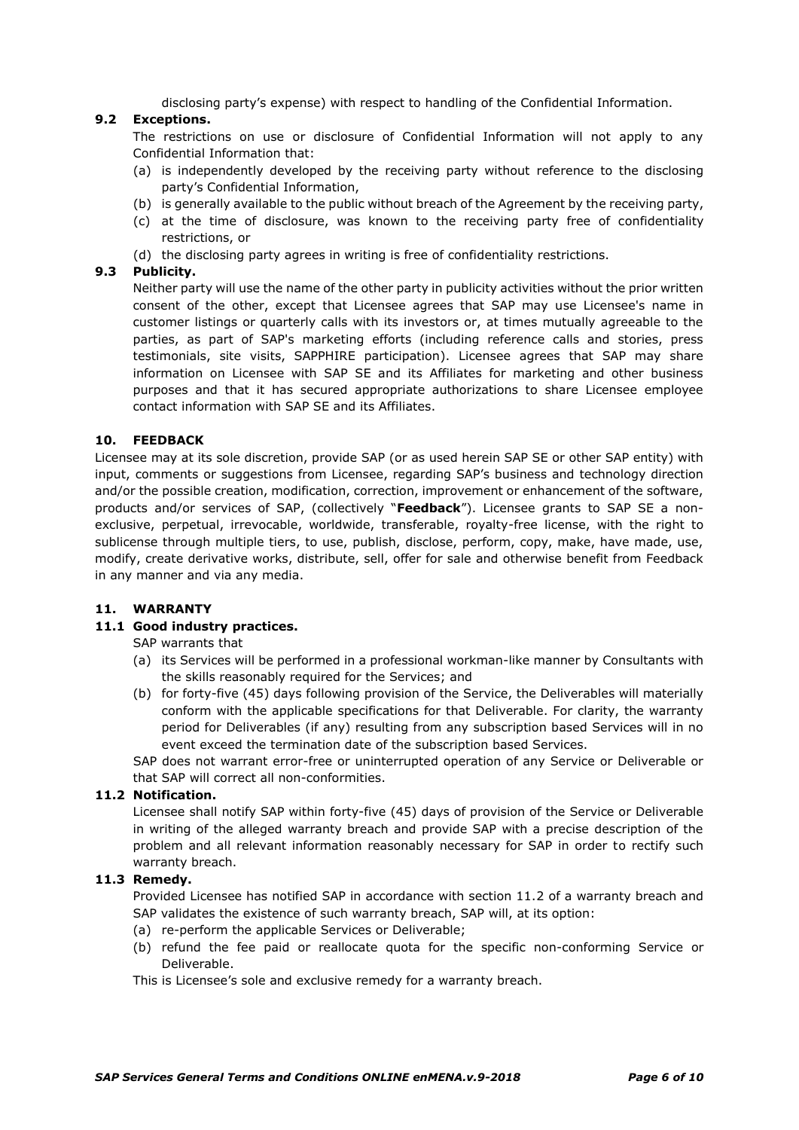disclosing party's expense) with respect to handling of the Confidential Information.

## **9.2 Exceptions.**

The restrictions on use or disclosure of Confidential Information will not apply to any Confidential Information that:

- (a) is independently developed by the receiving party without reference to the disclosing party's Confidential Information,
- (b) is generally available to the public without breach of the Agreement by the receiving party,
- (c) at the time of disclosure, was known to the receiving party free of confidentiality restrictions, or
- (d) the disclosing party agrees in writing is free of confidentiality restrictions.

### **9.3 Publicity.**

Neither party will use the name of the other party in publicity activities without the prior written consent of the other, except that Licensee agrees that SAP may use Licensee's name in customer listings or quarterly calls with its investors or, at times mutually agreeable to the parties, as part of SAP's marketing efforts (including reference calls and stories, press testimonials, site visits, SAPPHIRE participation). Licensee agrees that SAP may share information on Licensee with SAP SE and its Affiliates for marketing and other business purposes and that it has secured appropriate authorizations to share Licensee employee contact information with SAP SE and its Affiliates.

#### **10. FEEDBACK**

Licensee may at its sole discretion, provide SAP (or as used herein SAP SE or other SAP entity) with input, comments or suggestions from Licensee, regarding SAP's business and technology direction and/or the possible creation, modification, correction, improvement or enhancement of the software, products and/or services of SAP, (collectively "**Feedback**"). Licensee grants to SAP SE a nonexclusive, perpetual, irrevocable, worldwide, transferable, royalty-free license, with the right to sublicense through multiple tiers, to use, publish, disclose, perform, copy, make, have made, use, modify, create derivative works, distribute, sell, offer for sale and otherwise benefit from Feedback in any manner and via any media.

#### **11. WARRANTY**

## **11.1 Good industry practices.**

SAP warrants that

- (a) its Services will be performed in a professional workman-like manner by Consultants with the skills reasonably required for the Services; and
- (b) for forty-five (45) days following provision of the Service, the Deliverables will materially conform with the applicable specifications for that Deliverable. For clarity, the warranty period for Deliverables (if any) resulting from any subscription based Services will in no event exceed the termination date of the subscription based Services.

SAP does not warrant error-free or uninterrupted operation of any Service or Deliverable or that SAP will correct all non-conformities.

#### **11.2 Notification.**

Licensee shall notify SAP within forty-five (45) days of provision of the Service or Deliverable in writing of the alleged warranty breach and provide SAP with a precise description of the problem and all relevant information reasonably necessary for SAP in order to rectify such warranty breach.

### **11.3 Remedy.**

Provided Licensee has notified SAP in accordance with section 11.2 of a warranty breach and SAP validates the existence of such warranty breach, SAP will, at its option:

- (a) re-perform the applicable Services or Deliverable;
- (b) refund the fee paid or reallocate quota for the specific non-conforming Service or Deliverable.

This is Licensee's sole and exclusive remedy for a warranty breach.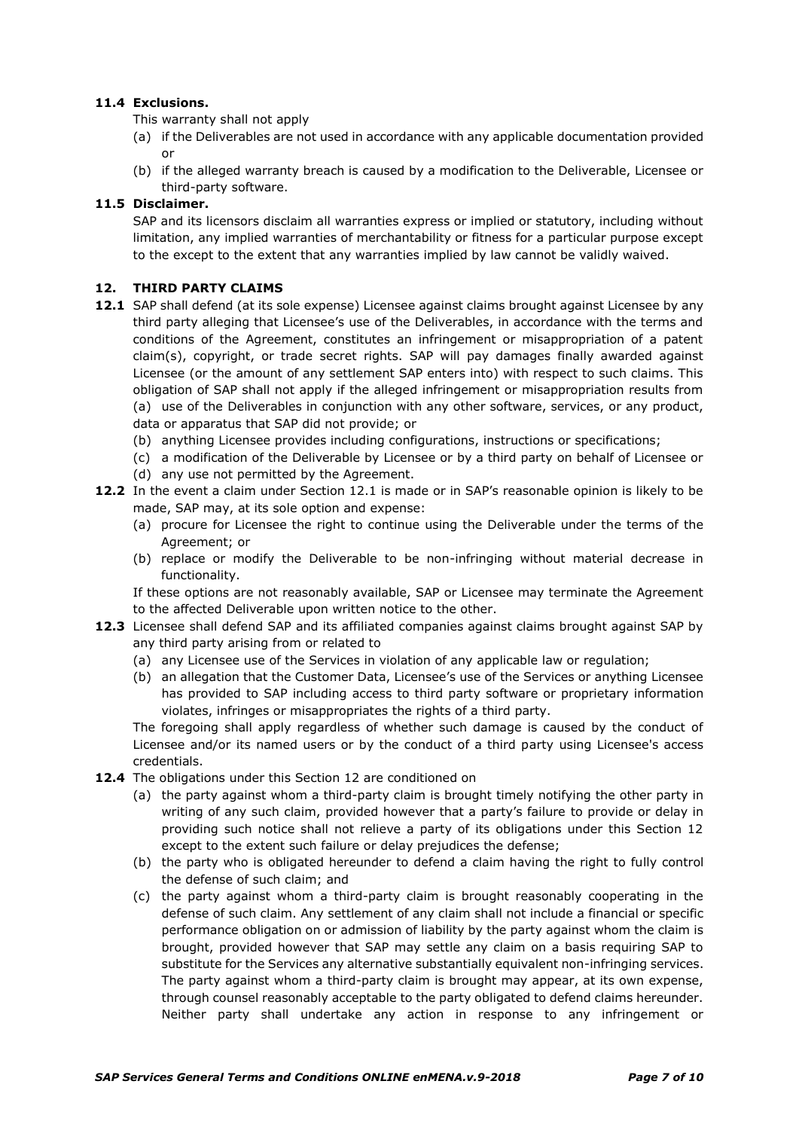## **11.4 Exclusions.**

This warranty shall not apply

- (a) if the Deliverables are not used in accordance with any applicable documentation provided or
- (b) if the alleged warranty breach is caused by a modification to the Deliverable, Licensee or third-party software.

## **11.5 Disclaimer.**

SAP and its licensors disclaim all warranties express or implied or statutory, including without limitation, any implied warranties of merchantability or fitness for a particular purpose except to the except to the extent that any warranties implied by law cannot be validly waived.

## **12. THIRD PARTY CLAIMS**

- **12.1** SAP shall defend (at its sole expense) Licensee against claims brought against Licensee by any third party alleging that Licensee's use of the Deliverables, in accordance with the terms and conditions of the Agreement, constitutes an infringement or misappropriation of a patent claim(s), copyright, or trade secret rights. SAP will pay damages finally awarded against Licensee (or the amount of any settlement SAP enters into) with respect to such claims. This obligation of SAP shall not apply if the alleged infringement or misappropriation results from (a) use of the Deliverables in conjunction with any other software, services, or any product, data or apparatus that SAP did not provide; or
	- (b) anything Licensee provides including configurations, instructions or specifications;
	- (c) a modification of the Deliverable by Licensee or by a third party on behalf of Licensee or
	- (d) any use not permitted by the Agreement.
- **12.2** In the event a claim under Section 12.1 is made or in SAP's reasonable opinion is likely to be made, SAP may, at its sole option and expense:
	- (a) procure for Licensee the right to continue using the Deliverable under the terms of the Agreement; or
	- (b) replace or modify the Deliverable to be non-infringing without material decrease in functionality.

If these options are not reasonably available, SAP or Licensee may terminate the Agreement to the affected Deliverable upon written notice to the other.

- **12.3** Licensee shall defend SAP and its affiliated companies against claims brought against SAP by any third party arising from or related to
	- (a) any Licensee use of the Services in violation of any applicable law or regulation;
	- (b) an allegation that the Customer Data, Licensee's use of the Services or anything Licensee has provided to SAP including access to third party software or proprietary information violates, infringes or misappropriates the rights of a third party.

The foregoing shall apply regardless of whether such damage is caused by the conduct of Licensee and/or its named users or by the conduct of a third party using Licensee's access credentials.

- **12.4** The obligations under this Section 12 are conditioned on
	- (a) the party against whom a third-party claim is brought timely notifying the other party in writing of any such claim, provided however that a party's failure to provide or delay in providing such notice shall not relieve a party of its obligations under this Section 12 except to the extent such failure or delay prejudices the defense;
	- (b) the party who is obligated hereunder to defend a claim having the right to fully control the defense of such claim; and
	- (c) the party against whom a third-party claim is brought reasonably cooperating in the defense of such claim. Any settlement of any claim shall not include a financial or specific performance obligation on or admission of liability by the party against whom the claim is brought, provided however that SAP may settle any claim on a basis requiring SAP to substitute for the Services any alternative substantially equivalent non-infringing services. The party against whom a third-party claim is brought may appear, at its own expense, through counsel reasonably acceptable to the party obligated to defend claims hereunder. Neither party shall undertake any action in response to any infringement or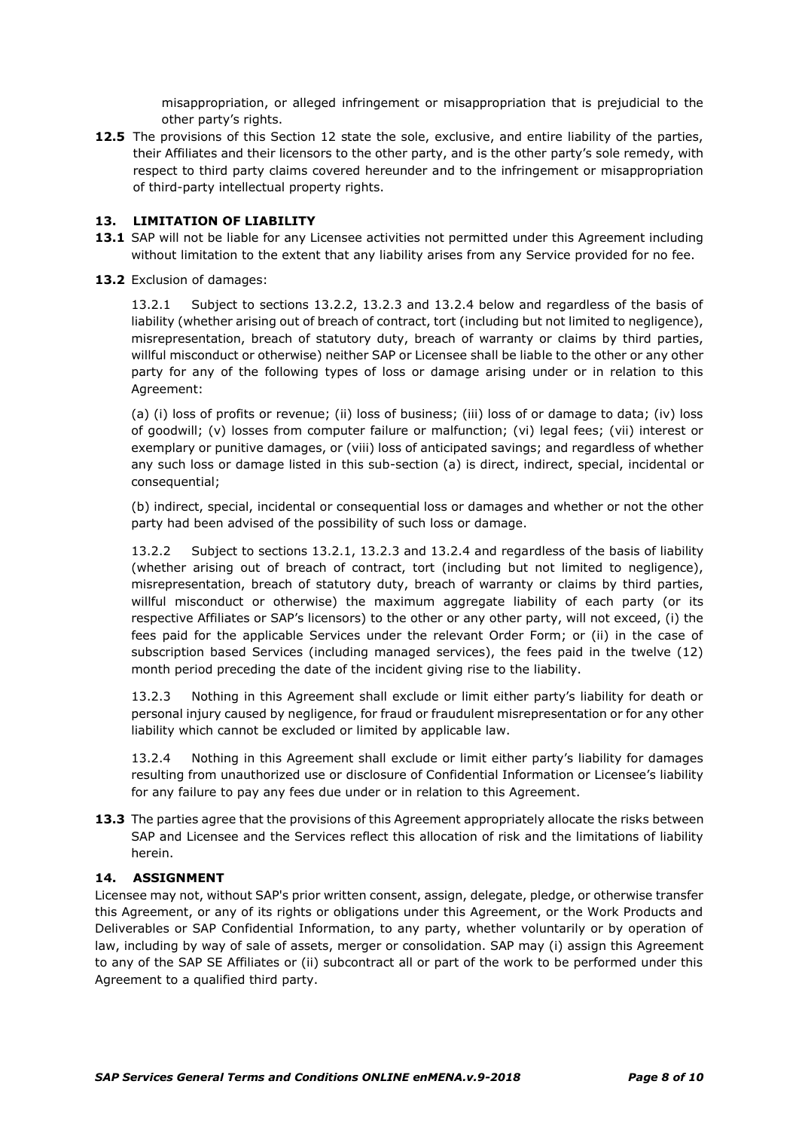misappropriation, or alleged infringement or misappropriation that is prejudicial to the other party's rights.

**12.5** The provisions of this Section 12 state the sole, exclusive, and entire liability of the parties, their Affiliates and their licensors to the other party, and is the other party's sole remedy, with respect to third party claims covered hereunder and to the infringement or misappropriation of third-party intellectual property rights.

### **13. LIMITATION OF LIABILITY**

- **13.1** SAP will not be liable for any Licensee activities not permitted under this Agreement including without limitation to the extent that any liability arises from any Service provided for no fee.
- **13.2** Exclusion of damages:

13.2.1 Subject to sections 13.2.2, 13.2.3 and 13.2.4 below and regardless of the basis of liability (whether arising out of breach of contract, tort (including but not limited to negligence), misrepresentation, breach of statutory duty, breach of warranty or claims by third parties, willful misconduct or otherwise) neither SAP or Licensee shall be liable to the other or any other party for any of the following types of loss or damage arising under or in relation to this Agreement:

(a) (i) loss of profits or revenue; (ii) loss of business; (iii) loss of or damage to data; (iv) loss of goodwill; (v) losses from computer failure or malfunction; (vi) legal fees; (vii) interest or exemplary or punitive damages, or (viii) loss of anticipated savings; and regardless of whether any such loss or damage listed in this sub-section (a) is direct, indirect, special, incidental or consequential;

(b) indirect, special, incidental or consequential loss or damages and whether or not the other party had been advised of the possibility of such loss or damage.

13.2.2 Subject to sections 13.2.1, 13.2.3 and 13.2.4 and regardless of the basis of liability (whether arising out of breach of contract, tort (including but not limited to negligence), misrepresentation, breach of statutory duty, breach of warranty or claims by third parties, willful misconduct or otherwise) the maximum aggregate liability of each party (or its respective Affiliates or SAP's licensors) to the other or any other party, will not exceed, (i) the fees paid for the applicable Services under the relevant Order Form; or (ii) in the case of subscription based Services (including managed services), the fees paid in the twelve (12) month period preceding the date of the incident giving rise to the liability.

13.2.3 Nothing in this Agreement shall exclude or limit either party's liability for death or personal injury caused by negligence, for fraud or fraudulent misrepresentation or for any other liability which cannot be excluded or limited by applicable law.

13.2.4 Nothing in this Agreement shall exclude or limit either party's liability for damages resulting from unauthorized use or disclosure of Confidential Information or Licensee's liability for any failure to pay any fees due under or in relation to this Agreement.

**13.3** The parties agree that the provisions of this Agreement appropriately allocate the risks between SAP and Licensee and the Services reflect this allocation of risk and the limitations of liability herein.

### **14. ASSIGNMENT**

Licensee may not, without SAP's prior written consent, assign, delegate, pledge, or otherwise transfer this Agreement, or any of its rights or obligations under this Agreement, or the Work Products and Deliverables or SAP Confidential Information, to any party, whether voluntarily or by operation of law, including by way of sale of assets, merger or consolidation. SAP may (i) assign this Agreement to any of the SAP SE Affiliates or (ii) subcontract all or part of the work to be performed under this Agreement to a qualified third party.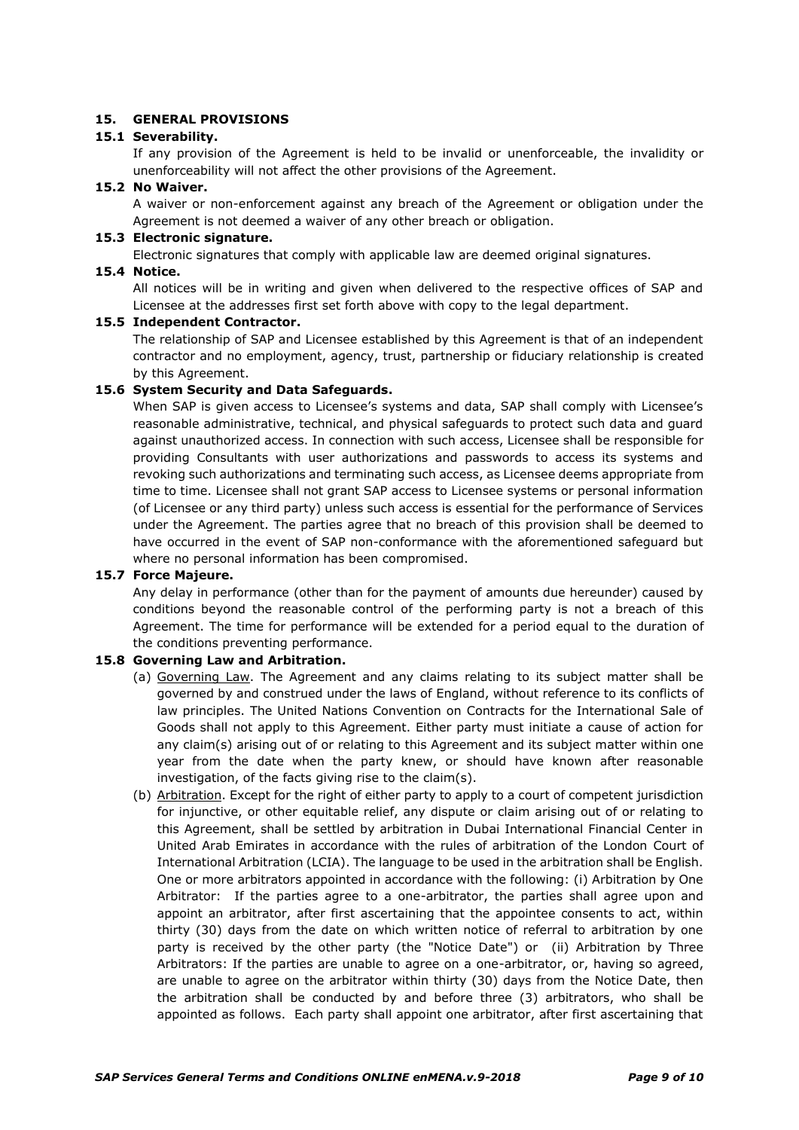### **15. GENERAL PROVISIONS**

### **15.1 Severability.**

If any provision of the Agreement is held to be invalid or unenforceable, the invalidity or unenforceability will not affect the other provisions of the Agreement.

#### **15.2 No Waiver.**

**15.4 Notice.**

A waiver or non-enforcement against any breach of the Agreement or obligation under the Agreement is not deemed a waiver of any other breach or obligation.

### **15.3 Electronic signature.**

Electronic signatures that comply with applicable law are deemed original signatures.

All notices will be in writing and given when delivered to the respective offices of SAP and Licensee at the addresses first set forth above with copy to the legal department.

#### **15.5 Independent Contractor.**

The relationship of SAP and Licensee established by this Agreement is that of an independent contractor and no employment, agency, trust, partnership or fiduciary relationship is created by this Agreement.

#### **15.6 System Security and Data Safeguards.**

When SAP is given access to Licensee's systems and data, SAP shall comply with Licensee's reasonable administrative, technical, and physical safeguards to protect such data and guard against unauthorized access. In connection with such access, Licensee shall be responsible for providing Consultants with user authorizations and passwords to access its systems and revoking such authorizations and terminating such access, as Licensee deems appropriate from time to time. Licensee shall not grant SAP access to Licensee systems or personal information (of Licensee or any third party) unless such access is essential for the performance of Services under the Agreement. The parties agree that no breach of this provision shall be deemed to have occurred in the event of SAP non-conformance with the aforementioned safeguard but where no personal information has been compromised.

### **15.7 Force Majeure.**

Any delay in performance (other than for the payment of amounts due hereunder) caused by conditions beyond the reasonable control of the performing party is not a breach of this Agreement. The time for performance will be extended for a period equal to the duration of the conditions preventing performance.

#### **15.8 Governing Law and Arbitration.**

- (a) Governing Law. The Agreement and any claims relating to its subject matter shall be governed by and construed under the laws of England, without reference to its conflicts of law principles. The United Nations Convention on Contracts for the International Sale of Goods shall not apply to this Agreement. Either party must initiate a cause of action for any claim(s) arising out of or relating to this Agreement and its subject matter within one year from the date when the party knew, or should have known after reasonable investigation, of the facts giving rise to the claim(s).
- (b) Arbitration. Except for the right of either party to apply to a court of competent jurisdiction for injunctive, or other equitable relief, any dispute or claim arising out of or relating to this Agreement, shall be settled by arbitration in Dubai International Financial Center in United Arab Emirates in accordance with the rules of arbitration of the London Court of International Arbitration (LCIA). The language to be used in the arbitration shall be English. One or more arbitrators appointed in accordance with the following: (i) Arbitration by One Arbitrator: If the parties agree to a one-arbitrator, the parties shall agree upon and appoint an arbitrator, after first ascertaining that the appointee consents to act, within thirty (30) days from the date on which written notice of referral to arbitration by one party is received by the other party (the "Notice Date") or (ii) Arbitration by Three Arbitrators: If the parties are unable to agree on a one-arbitrator, or, having so agreed, are unable to agree on the arbitrator within thirty (30) days from the Notice Date, then the arbitration shall be conducted by and before three (3) arbitrators, who shall be appointed as follows. Each party shall appoint one arbitrator, after first ascertaining that